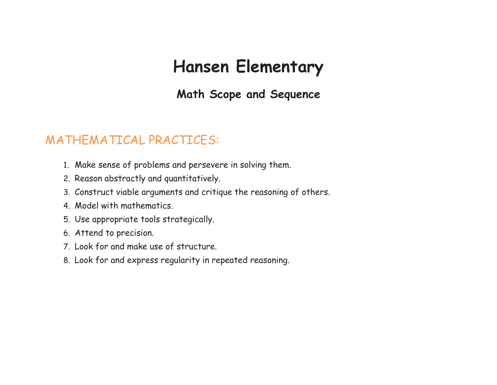# **Hansen Elementary**

**Math Scope and Sequence**

# MATHEMATICAL PRACTICES:

- 1. Make sense of problems and persevere in solving them.
- 2. Reason abstractly and quantitatively.
- 3. Construct viable arguments and critique the reasoning of others.
- 4. Model with mathematics.
- 5. Use appropriate tools strategically.
- 6. Attend to precision.
- 7. Look for and make use of structure.
- 8. Look for and express regularity in repeated reasoning.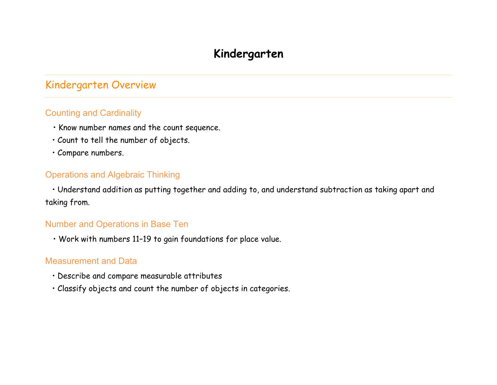# **Kindergarten**

# Kindergarten Overview

#### Counting and Cardinality

- Know number names and the count sequence.
- Count to tell the number of objects.
- Compare numbers.

#### Operations and Algebraic Thinking

 • Understand addition as putting together and adding to, and understand subtraction as taking apart and taking from.

#### Number and Operations in Base Ten

• Work with numbers 11–19 to gain foundations for place value.

- Describe and compare measurable attributes
- Classify objects and count the number of objects in categories.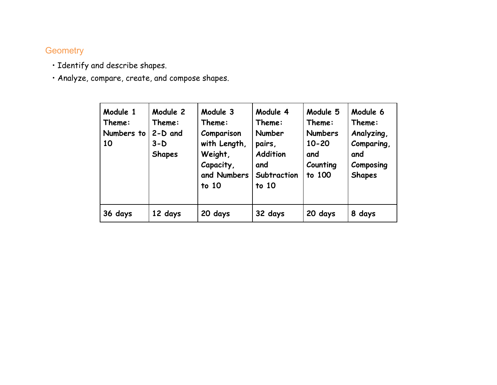- Identify and describe shapes.
- Analyze, compare, create, and compose shapes.

| Module 1<br>Theme:<br>Numbers to<br>10 | Module 2<br>Theme:<br>$2-D$ and<br>$3-D$<br><b>Shapes</b> | Module 3<br>Theme:<br>Comparison<br>with Length,<br>Weight,<br>Capacity,<br>and Numbers<br>to 10 | Module 4<br>Theme:<br><b>Number</b><br>pairs,<br>Addition<br>and<br>Subtraction<br>to 10 | Module 5<br>Theme:<br><b>Numbers</b><br>$10 - 20$<br>and<br>Counting<br>to 100 | Module 6<br>Theme:<br>Analyzing,<br>Comparing,<br>and<br>Composing<br><b>Shapes</b> |
|----------------------------------------|-----------------------------------------------------------|--------------------------------------------------------------------------------------------------|------------------------------------------------------------------------------------------|--------------------------------------------------------------------------------|-------------------------------------------------------------------------------------|
| 36 days                                | 12 days                                                   | 20 days                                                                                          | 32 days                                                                                  | 20 days                                                                        | 8 days                                                                              |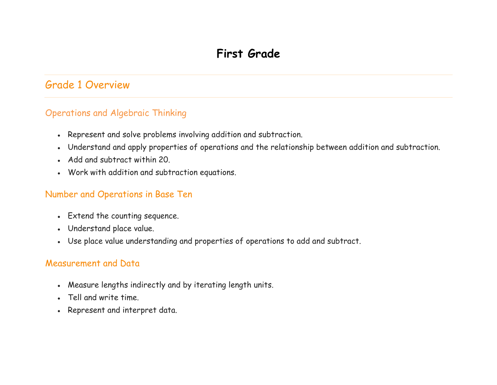# Grade 1 Overview

#### Operations and Algebraic Thinking

- Represent and solve problems involving addition and subtraction.
- Understand and apply properties of operations and the relationship between addition and subtraction.
- Add and subtract within 20.
- Work with addition and subtraction equations.

#### Number and Operations in Base Ten

- Extend the counting sequence.
- Understand place value.
- Use place value understanding and properties of operations to add and subtract.

- Measure lengths indirectly and by iterating length units.
- Tell and write time.
- Represent and interpret data.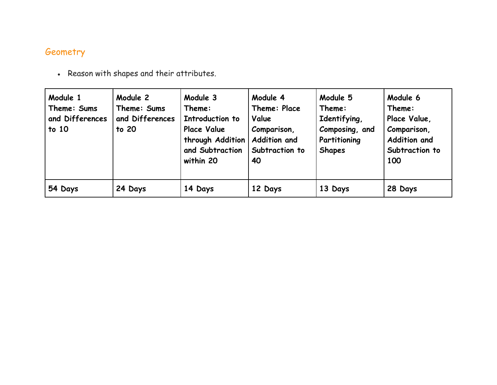| Module 1<br>Theme: Sums<br>and Differences<br>$t$ to 10 | Module 2<br>Theme: Sums<br>and Differences<br>to 20 | Module 3<br>Theme:<br>Introduction to<br><b>Place Value</b><br>through Addition<br>and Subtraction<br>within 20 | Module 4<br>Theme: Place<br>Value<br>Comparison,<br>Addition and<br>Subtraction to<br>40 | Module 5<br>Theme:<br>Identifying,<br>Composing, and<br>Partitioning<br><b>Shapes</b> | Module 6<br>Theme:<br>Place Value,<br>Comparison,<br>Addition and<br>Subtraction to<br>100 |
|---------------------------------------------------------|-----------------------------------------------------|-----------------------------------------------------------------------------------------------------------------|------------------------------------------------------------------------------------------|---------------------------------------------------------------------------------------|--------------------------------------------------------------------------------------------|
| 54 Days                                                 | 24 Days                                             | 14 Days                                                                                                         | 12 Days                                                                                  | 13 Days                                                                               | 28 Days                                                                                    |

• Reason with shapes and their attributes.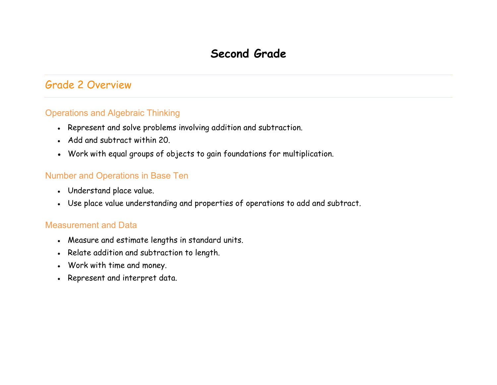# **Second Grade**

## Grade 2 Overview

#### Operations and Algebraic Thinking

- Represent and solve problems involving addition and subtraction.
- Add and subtract within 20.
- Work with equal groups of objects to gain foundations for multiplication.

#### Number and Operations in Base Ten

- Understand place value.
- Use place value understanding and properties of operations to add and subtract.

- Measure and estimate lengths in standard units.
- Relate addition and subtraction to length.
- Work with time and money.
- Represent and interpret data.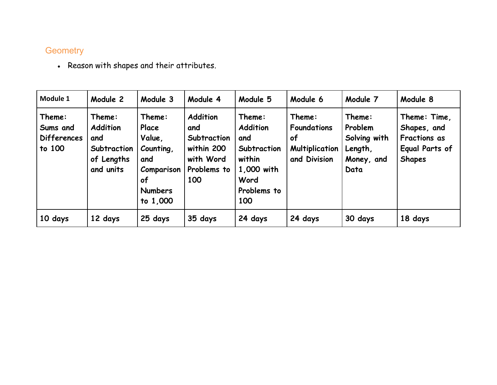• Reason with shapes and their attributes.

| Module 1                                           | Module 2                                                                   | Module 3                                                                                        | Module 4                                                                               | Module 5                                                                                              | Module 6                                                                    | Module 7                                                           | Module 8                                                                              |
|----------------------------------------------------|----------------------------------------------------------------------------|-------------------------------------------------------------------------------------------------|----------------------------------------------------------------------------------------|-------------------------------------------------------------------------------------------------------|-----------------------------------------------------------------------------|--------------------------------------------------------------------|---------------------------------------------------------------------------------------|
| Theme:<br>Sums and<br><b>Differences</b><br>to 100 | Theme:<br><b>Addition</b><br>and<br>Subtraction<br>of Lengths<br>and units | Theme:<br>Place<br>Value,<br>Counting,<br>and<br>Comparison<br>of<br><b>Numbers</b><br>to 1,000 | <b>Addition</b><br>and<br>Subtraction<br>within 200<br>with Word<br>Problems to<br>100 | Theme:<br><b>Addition</b><br>and<br>Subtraction<br>within<br>1,000 with<br>Word<br>Problems to<br>100 | Theme:<br><b>Foundations</b><br>0f<br><b>Multiplication</b><br>and Division | Theme:<br>Problem<br>Solving with<br>Length,<br>Money, and<br>Data | Theme: Time,<br>Shapes, and<br><b>Fractions as</b><br>Equal Parts of<br><b>Shapes</b> |
| 10 days                                            | 12 days                                                                    | 25 days                                                                                         | 35 days                                                                                | 24 days                                                                                               | 24 days                                                                     | 30 days                                                            | 18 days                                                                               |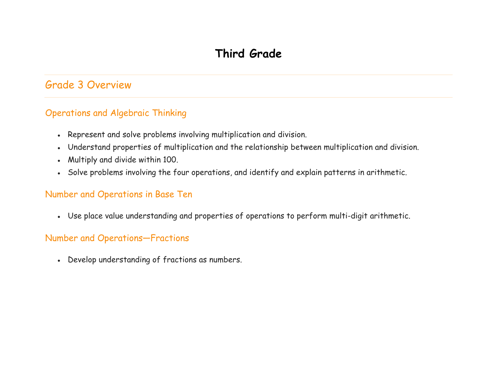# Grade 3 Overview

#### Operations and Algebraic Thinking

- Represent and solve problems involving multiplication and division.
- Understand properties of multiplication and the relationship between multiplication and division.
- Multiply and divide within 100.
- Solve problems involving the four operations, and identify and explain patterns in arithmetic.

#### Number and Operations in Base Ten

• Use place value understanding and properties of operations to perform multi-digit arithmetic.

#### Number and Operations—Fractions

• Develop understanding of fractions as numbers.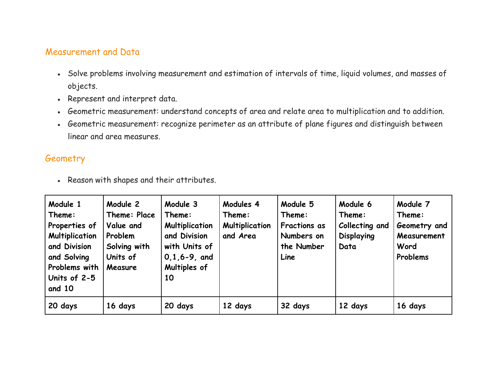#### Measurement and Data

- Solve problems involving measurement and estimation of intervals of time, liquid volumes, and masses of objects.
- Represent and interpret data.
- Geometric measurement: understand concepts of area and relate area to multiplication and to addition.
- Geometric measurement: recognize perimeter as an attribute of plane figures and distinguish between linear and area measures.

#### Geometry

• Reason with shapes and their attributes.

| Module 1<br>Theme:<br>Properties of<br><b>Multiplication</b><br>and Division<br>and Solving<br>Problems with<br>Units of 2-5<br>and 10 | Module 2<br>Theme: Place<br>Value and<br>Problem<br>Solving with<br>Units of<br>Measure | Module 3<br>Theme:<br><b>Multiplication</b><br>and Division<br>with Units of<br>$0, 1, 6 - 9,$ and<br>Multiples of<br>10 | Modules 4<br>Theme:<br><b>Multiplication</b><br>and Area | Module 5<br>Theme:<br><b>Fractions as</b><br>Numbers on<br>the Number<br>Line | Module 6<br>Theme:<br>Collecting and<br>Displaying<br>Data | Module 7<br>Theme:<br>Geometry and<br>Measurement<br>Word<br>Problems |
|----------------------------------------------------------------------------------------------------------------------------------------|-----------------------------------------------------------------------------------------|--------------------------------------------------------------------------------------------------------------------------|----------------------------------------------------------|-------------------------------------------------------------------------------|------------------------------------------------------------|-----------------------------------------------------------------------|
| 20 days                                                                                                                                | 16 days                                                                                 | 20 days                                                                                                                  | 12 days                                                  | 32 days                                                                       | 12 days                                                    | 16 days                                                               |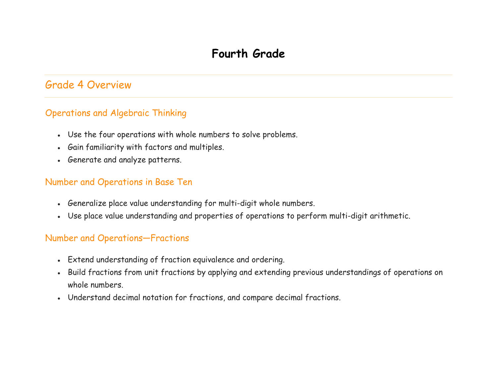### Grade 4 Overview

#### Operations and Algebraic Thinking

- Use the four operations with whole numbers to solve problems.
- Gain familiarity with factors and multiples.
- Generate and analyze patterns.

#### Number and Operations in Base Ten

- Generalize place value understanding for multi-digit whole numbers.
- Use place value understanding and properties of operations to perform multi-digit arithmetic.

#### Number and Operations—Fractions

- Extend understanding of fraction equivalence and ordering.
- Build fractions from unit fractions by applying and extending previous understandings of operations on whole numbers.
- Understand decimal notation for fractions, and compare decimal fractions.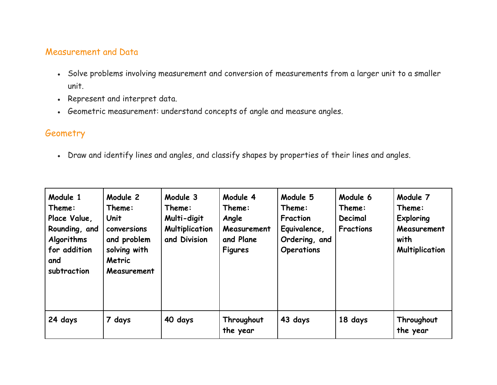#### Measurement and Data

- Solve problems involving measurement and conversion of measurements from a larger unit to a smaller unit.
- Represent and interpret data.
- Geometric measurement: understand concepts of angle and measure angles.

#### **Geometry**

• Draw and identify lines and angles, and classify shapes by properties of their lines and angles.

| Module 1<br>Theme:<br>Place Value,<br>Rounding, and<br>Algorithms<br>for addition<br>and<br>subtraction | Module 2<br>Theme:<br>Unit<br>conversions<br>and problem<br>solving with<br><b>Metric</b><br>Measurement | Module 3<br>Theme:<br>Multi-digit<br><b>Multiplication</b><br>and Division | Module 4<br>Theme:<br>Angle<br>Measurement<br>and Plane<br><b>Figures</b> | Module 5<br>Theme:<br>Fraction<br>Equivalence,<br>Ordering, and<br><b>Operations</b> | Module 6<br>Theme:<br>Decimal<br><b>Fractions</b> | Module 7<br>Theme:<br><b>Exploring</b><br>Measurement<br>with<br><b>Multiplication</b> |
|---------------------------------------------------------------------------------------------------------|----------------------------------------------------------------------------------------------------------|----------------------------------------------------------------------------|---------------------------------------------------------------------------|--------------------------------------------------------------------------------------|---------------------------------------------------|----------------------------------------------------------------------------------------|
| 24 days                                                                                                 | 7 days                                                                                                   | 40 days                                                                    | Throughout<br>the year                                                    | 43 days                                                                              | 18 days                                           | Throughout<br>the year                                                                 |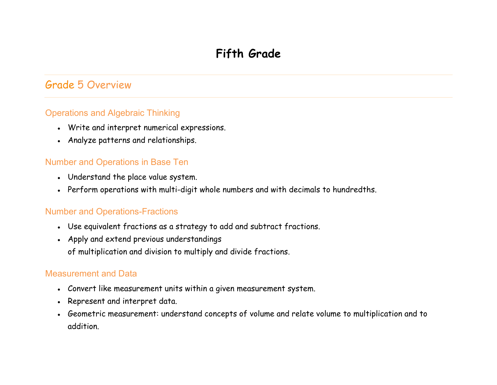# **Fifth Grade**

# Grade 5 Overview

#### Operations and Algebraic Thinking

- Write and interpret numerical expressions.
- Analyze patterns and relationships.

#### Number and Operations in Base Ten

- Understand the place value system.
- Perform operations with multi-digit whole numbers and with decimals to hundredths.

#### Number and Operations-Fractions

- Use equivalent fractions as a strategy to add and subtract fractions.
- Apply and extend previous understandings of multiplication and division to multiply and divide fractions.

- Convert like measurement units within a given measurement system.
- Represent and interpret data.
- Geometric measurement: understand concepts of volume and relate volume to multiplication and to addition.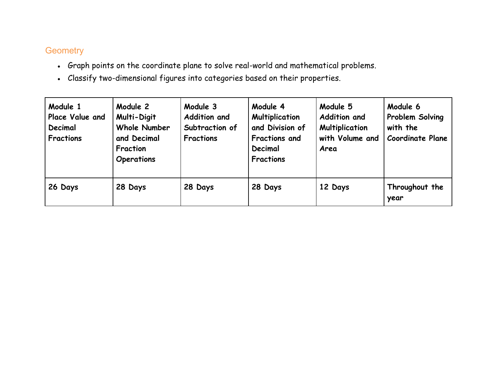- Graph points on the coordinate plane to solve real-world and mathematical problems.
- Classify two-dimensional figures into categories based on their properties.

| Module 1<br>Place Value and<br>Decimal<br><b>Fractions</b> | Module 2<br>Multi-Digit<br><b>Whole Number</b><br>and Decimal<br>Fraction<br><b>Operations</b> | Module 3<br><b>Addition and</b><br>Subtraction of<br><b>Fractions</b> | Module 4<br><b>Multiplication</b><br>and Division of<br><b>Fractions and</b><br>Decimal<br><b>Fractions</b> | Module 5<br><b>Addition and</b><br><b>Multiplication</b><br>with Volume and<br>Area | Module 6<br>Problem Solving<br>with the<br><b>Coordinate Plane</b> |
|------------------------------------------------------------|------------------------------------------------------------------------------------------------|-----------------------------------------------------------------------|-------------------------------------------------------------------------------------------------------------|-------------------------------------------------------------------------------------|--------------------------------------------------------------------|
| 26 Days                                                    | 28 Days                                                                                        | 28 Days                                                               | 28 Days                                                                                                     | 12 Days                                                                             | Throughout the<br>year                                             |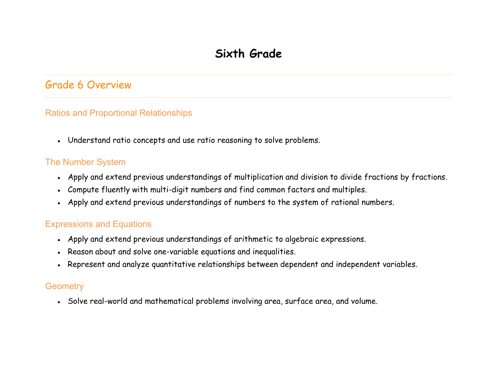# Grade 6 Overview

#### Ratios and Proportional Relationships

• Understand ratio concepts and use ratio reasoning to solve problems.

#### The Number System

- Apply and extend previous understandings of multiplication and division to divide fractions by fractions.
- Compute fluently with multi-digit numbers and find common factors and multiples.
- Apply and extend previous understandings of numbers to the system of rational numbers.

#### Expressions and Equations

- Apply and extend previous understandings of arithmetic to algebraic expressions.
- Reason about and solve one-variable equations and inequalities.
- Represent and analyze quantitative relationships between dependent and independent variables.

#### **Geometry**

• Solve real-world and mathematical problems involving area, surface area, and volume.